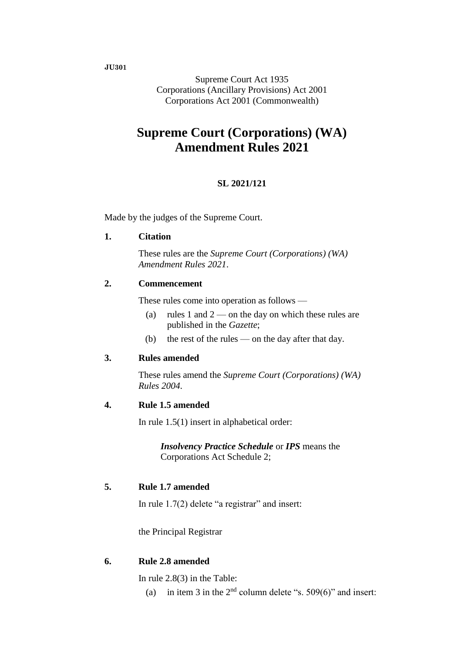**JU301**

Supreme Court Act 1935 Corporations (Ancillary Provisions) Act 2001 Corporations Act 2001 (Commonwealth)

# **Supreme Court (Corporations) (WA) Amendment Rules 2021**

### **SL 2021/121**

Made by the judges of the Supreme Court.

### **1. Citation**

These rules are the *Supreme Court (Corporations) (WA) Amendment Rules 2021*.

### **2. Commencement**

These rules come into operation as follows —

- (a) rules 1 and  $2$  on the day on which these rules are published in the *Gazette*;
- (b) the rest of the rules on the day after that day.

#### **3. Rules amended**

These rules amend the *Supreme Court (Corporations) (WA) Rules 2004*.

#### **4. Rule 1.5 amended**

In rule 1.5(1) insert in alphabetical order:

*Insolvency Practice Schedule* or *IPS* means the Corporations Act Schedule 2;

### **5. Rule 1.7 amended**

In rule 1.7(2) delete "a registrar" and insert:

the Principal Registrar

### **6. Rule 2.8 amended**

In rule 2.8(3) in the Table:

(a) in item 3 in the  $2<sup>nd</sup>$  column delete "s. 509(6)" and insert: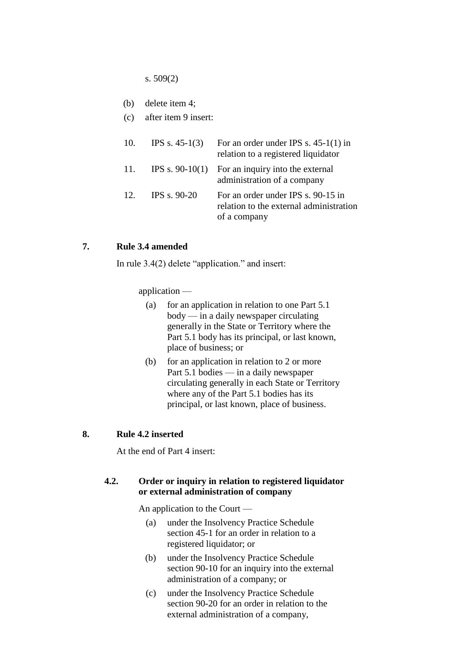s. 509(2)

|  | (b) | delete item 4; |  |
|--|-----|----------------|--|
|--|-----|----------------|--|

(c) after item 9 insert:

| 10. | IPS s. $45-1(3)$    | For an order under IPS s. $45-1(1)$ in<br>relation to a registered liquidator                 |
|-----|---------------------|-----------------------------------------------------------------------------------------------|
| 11. |                     | IPS s. $90-10(1)$ For an inquiry into the external<br>administration of a company             |
| 12. | <b>IPS s. 90-20</b> | For an order under IPS s. 90-15 in<br>relation to the external administration<br>of a company |

#### **7. Rule 3.4 amended**

In rule 3.4(2) delete "application." and insert:

application —

- (a) for an application in relation to one Part 5.1 body — in a daily newspaper circulating generally in the State or Territory where the Part 5.1 body has its principal, or last known, place of business; or
- (b) for an application in relation to 2 or more Part 5.1 bodies — in a daily newspaper circulating generally in each State or Territory where any of the Part 5.1 bodies has its principal, or last known, place of business.

#### **8. Rule 4.2 inserted**

At the end of Part 4 insert:

#### **4.2. Order or inquiry in relation to registered liquidator or external administration of company**

An application to the Court —

- (a) under the Insolvency Practice Schedule section 45-1 for an order in relation to a registered liquidator; or
- (b) under the Insolvency Practice Schedule section 90-10 for an inquiry into the external administration of a company; or
- (c) under the Insolvency Practice Schedule section 90-20 for an order in relation to the external administration of a company,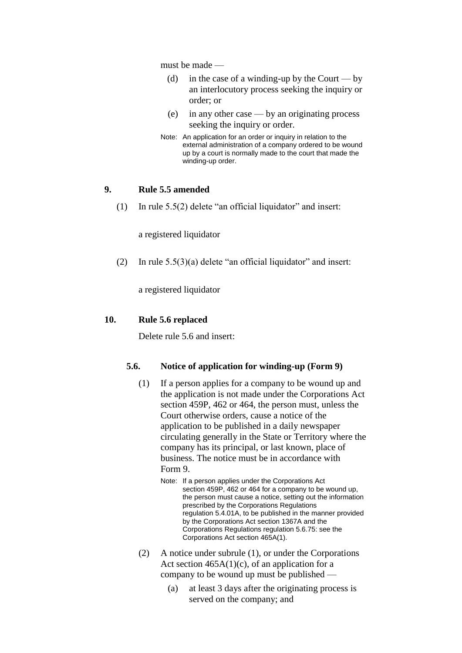must be made —

- (d) in the case of a winding-up by the Court by an interlocutory process seeking the inquiry or order; or
- (e) in any other case by an originating process seeking the inquiry or order.
- Note: An application for an order or inquiry in relation to the external administration of a company ordered to be wound up by a court is normally made to the court that made the winding-up order.

#### **9. Rule 5.5 amended**

(1) In rule 5.5(2) delete "an official liquidator" and insert:

a registered liquidator

(2) In rule  $5.5(3)(a)$  delete "an official liquidator" and insert:

a registered liquidator

#### **10. Rule 5.6 replaced**

Delete rule 5.6 and insert:

#### **5.6. Notice of application for winding-up (Form 9)**

- (1) If a person applies for a company to be wound up and the application is not made under the Corporations Act section 459P, 462 or 464, the person must, unless the Court otherwise orders, cause a notice of the application to be published in a daily newspaper circulating generally in the State or Territory where the company has its principal, or last known, place of business. The notice must be in accordance with Form 9.
	- Note: If a person applies under the Corporations Act section 459P, 462 or 464 for a company to be wound up, the person must cause a notice, setting out the information prescribed by the Corporations Regulations regulation 5.4.01A, to be published in the manner provided by the Corporations Act section 1367A and the Corporations Regulations regulation 5.6.75: see the Corporations Act section 465A(1).
- (2) A notice under subrule (1), or under the Corporations Act section  $465A(1)(c)$ , of an application for a company to be wound up must be published —
	- (a) at least 3 days after the originating process is served on the company; and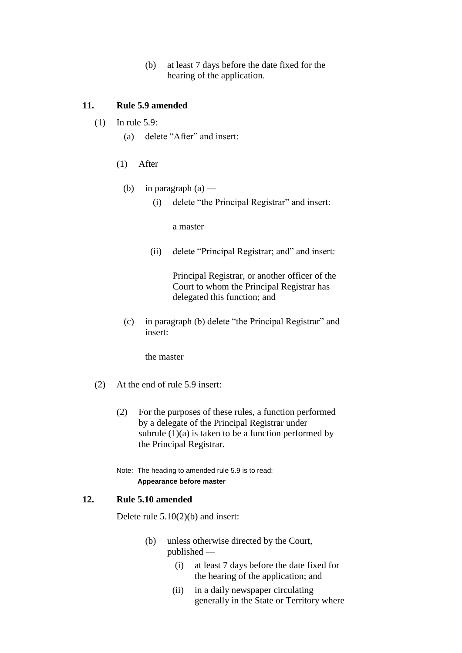(b) at least 7 days before the date fixed for the hearing of the application.

### **11. Rule 5.9 amended**

- (1) In rule 5.9:
	- (a) delete "After" and insert:
	- (1) After
		- (b) in paragraph  $(a)$ 
			- (i) delete "the Principal Registrar" and insert:

a master

(ii) delete "Principal Registrar; and" and insert:

Principal Registrar, or another officer of the Court to whom the Principal Registrar has delegated this function; and

(c) in paragraph (b) delete "the Principal Registrar" and insert:

the master

- (2) At the end of rule 5.9 insert:
	- (2) For the purposes of these rules, a function performed by a delegate of the Principal Registrar under subrule  $(1)(a)$  is taken to be a function performed by the Principal Registrar.
	- Note: The heading to amended rule 5.9 is to read: **Appearance before master**

### **12. Rule 5.10 amended**

Delete rule 5.10(2)(b) and insert:

- (b) unless otherwise directed by the Court, published —
	- (i) at least 7 days before the date fixed for the hearing of the application; and
	- (ii) in a daily newspaper circulating generally in the State or Territory where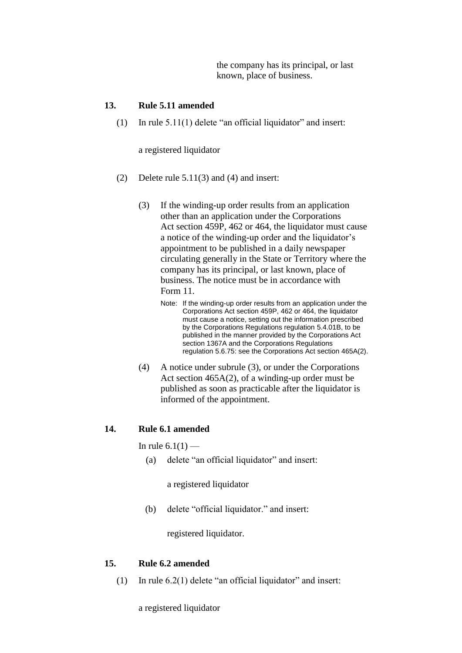the company has its principal, or last known, place of business.

#### **13. Rule 5.11 amended**

(1) In rule  $5.11(1)$  delete "an official liquidator" and insert:

a registered liquidator

- (2) Delete rule 5.11(3) and (4) and insert:
	- (3) If the winding-up order results from an application other than an application under the Corporations Act section 459P, 462 or 464, the liquidator must cause a notice of the winding-up order and the liquidator's appointment to be published in a daily newspaper circulating generally in the State or Territory where the company has its principal, or last known, place of business. The notice must be in accordance with Form 11.
		- Note: If the winding-up order results from an application under the Corporations Act section 459P, 462 or 464, the liquidator must cause a notice, setting out the information prescribed by the Corporations Regulations regulation 5.4.01B, to be published in the manner provided by the Corporations Act section 1367A and the Corporations Regulations regulation 5.6.75: see the Corporations Act section 465A(2).
	- (4) A notice under subrule (3), or under the Corporations Act section 465A(2), of a winding-up order must be published as soon as practicable after the liquidator is informed of the appointment.

#### **14. Rule 6.1 amended**

#### In rule  $6.1(1)$  —

(a) delete "an official liquidator" and insert:

a registered liquidator

(b) delete "official liquidator." and insert:

registered liquidator.

#### **15. Rule 6.2 amended**

(1) In rule 6.2(1) delete "an official liquidator" and insert:

a registered liquidator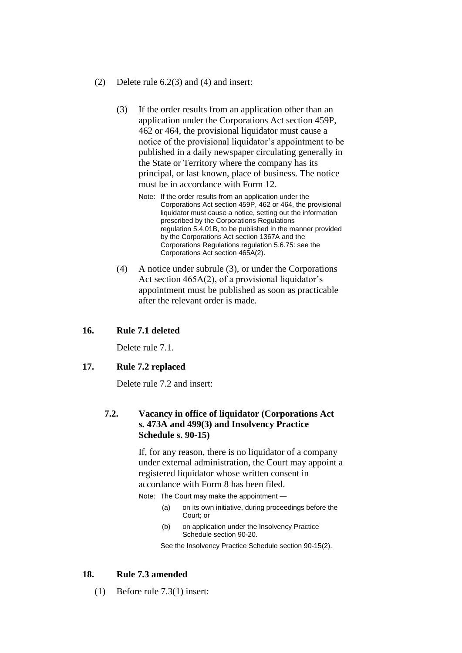- (2) Delete rule 6.2(3) and (4) and insert:
	- (3) If the order results from an application other than an application under the Corporations Act section 459P, 462 or 464, the provisional liquidator must cause a notice of the provisional liquidator's appointment to be published in a daily newspaper circulating generally in the State or Territory where the company has its principal, or last known, place of business. The notice must be in accordance with Form 12.
		- Note: If the order results from an application under the Corporations Act section 459P, 462 or 464, the provisional liquidator must cause a notice, setting out the information prescribed by the Corporations Regulations regulation 5.4.01B, to be published in the manner provided by the Corporations Act section 1367A and the Corporations Regulations regulation 5.6.75: see the Corporations Act section 465A(2).
	- (4) A notice under subrule (3), or under the Corporations Act section 465A(2), of a provisional liquidator's appointment must be published as soon as practicable after the relevant order is made.

#### **16. Rule 7.1 deleted**

Delete rule 7.1.

#### **17. Rule 7.2 replaced**

Delete rule 7.2 and insert:

### **7.2. Vacancy in office of liquidator (Corporations Act s. 473A and 499(3) and Insolvency Practice Schedule s. 90-15)**

If, for any reason, there is no liquidator of a company under external administration, the Court may appoint a registered liquidator whose written consent in accordance with Form 8 has been filed.

Note: The Court may make the appointment —

- (a) on its own initiative, during proceedings before the Court; or
- (b) on application under the Insolvency Practice Schedule section 90-20.

See the Insolvency Practice Schedule section 90-15(2).

#### **18. Rule 7.3 amended**

(1) Before rule 7.3(1) insert: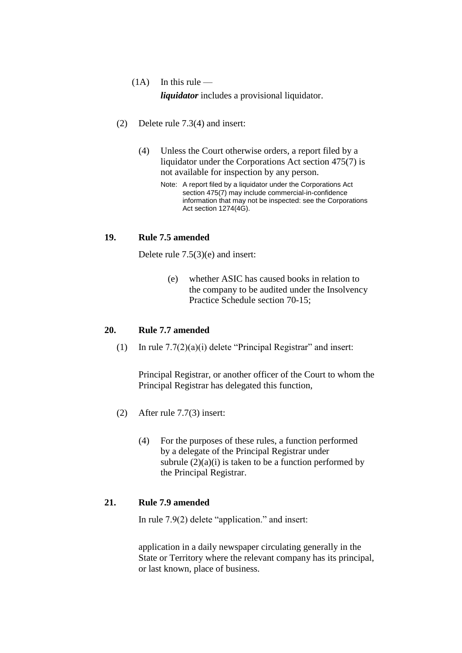## $(1A)$  In this rule —

*liquidator* includes a provisional liquidator.

- (2) Delete rule 7.3(4) and insert:
	- (4) Unless the Court otherwise orders, a report filed by a liquidator under the Corporations Act section 475(7) is not available for inspection by any person.
		- Note: A report filed by a liquidator under the Corporations Act section 475(7) may include commercial-in-confidence information that may not be inspected: see the Corporations Act section 1274(4G).

### **19. Rule 7.5 amended**

Delete rule 7.5(3)(e) and insert:

(e) whether ASIC has caused books in relation to the company to be audited under the Insolvency Practice Schedule section 70-15;

### **20. Rule 7.7 amended**

(1) In rule  $7.7(2)(a)(i)$  delete "Principal Registrar" and insert:

Principal Registrar, or another officer of the Court to whom the Principal Registrar has delegated this function,

- (2) After rule 7.7(3) insert:
	- (4) For the purposes of these rules, a function performed by a delegate of the Principal Registrar under subrule  $(2)(a)(i)$  is taken to be a function performed by the Principal Registrar.

### **21. Rule 7.9 amended**

In rule 7.9(2) delete "application." and insert:

application in a daily newspaper circulating generally in the State or Territory where the relevant company has its principal, or last known, place of business.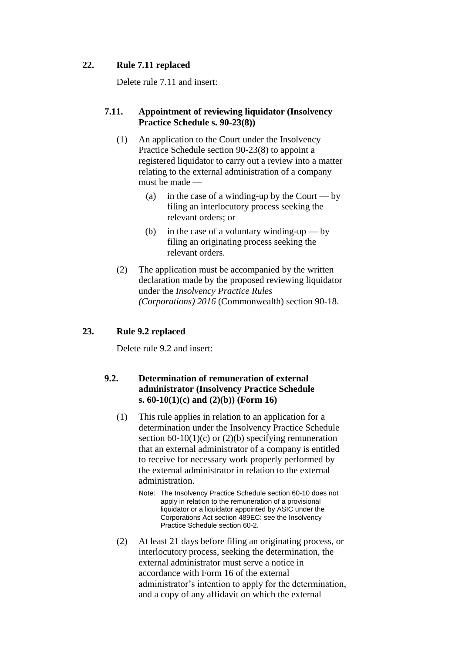### **22. Rule 7.11 replaced**

Delete rule 7.11 and insert:

### **7.11. Appointment of reviewing liquidator (Insolvency Practice Schedule s. 90-23(8))**

- (1) An application to the Court under the Insolvency Practice Schedule section 90-23(8) to appoint a registered liquidator to carry out a review into a matter relating to the external administration of a company must be made —
	- (a) in the case of a winding-up by the Court by filing an interlocutory process seeking the relevant orders; or
	- (b) in the case of a voluntary winding-up by filing an originating process seeking the relevant orders.
- (2) The application must be accompanied by the written declaration made by the proposed reviewing liquidator under the *Insolvency Practice Rules (Corporations) 2016* (Commonwealth) section 90-18.

### **23. Rule 9.2 replaced**

Delete rule 9.2 and insert:

### **9.2. Determination of remuneration of external administrator (Insolvency Practice Schedule s. 60-10(1)(c) and (2)(b)) (Form 16)**

- (1) This rule applies in relation to an application for a determination under the Insolvency Practice Schedule section  $60-10(1)(c)$  or  $(2)(b)$  specifying remuneration that an external administrator of a company is entitled to receive for necessary work properly performed by the external administrator in relation to the external administration.
	- Note: The Insolvency Practice Schedule section 60-10 does not apply in relation to the remuneration of a provisional liquidator or a liquidator appointed by ASIC under the Corporations Act section 489EC: see the Insolvency Practice Schedule section 60-2.
- (2) At least 21 days before filing an originating process, or interlocutory process, seeking the determination, the external administrator must serve a notice in accordance with Form 16 of the external administrator's intention to apply for the determination, and a copy of any affidavit on which the external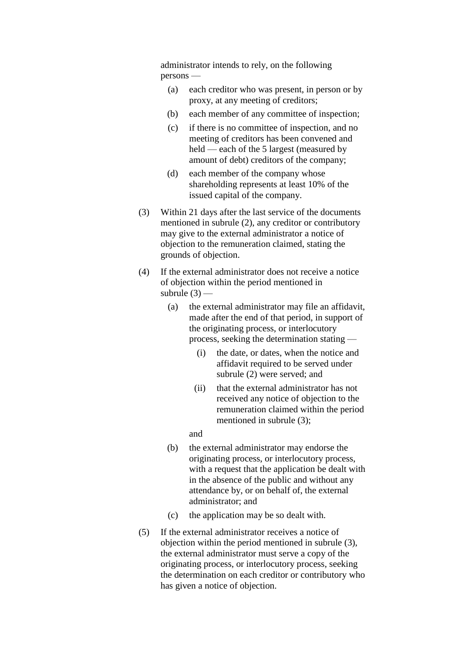administrator intends to rely, on the following persons —

- (a) each creditor who was present, in person or by proxy, at any meeting of creditors;
- (b) each member of any committee of inspection;
- (c) if there is no committee of inspection, and no meeting of creditors has been convened and held — each of the 5 largest (measured by amount of debt) creditors of the company;
- (d) each member of the company whose shareholding represents at least 10% of the issued capital of the company.
- (3) Within 21 days after the last service of the documents mentioned in subrule (2), any creditor or contributory may give to the external administrator a notice of objection to the remuneration claimed, stating the grounds of objection.
- (4) If the external administrator does not receive a notice of objection within the period mentioned in subrule  $(3)$  —
	- (a) the external administrator may file an affidavit, made after the end of that period, in support of the originating process, or interlocutory process, seeking the determination stating —
		- (i) the date, or dates, when the notice and affidavit required to be served under subrule (2) were served; and
		- (ii) that the external administrator has not received any notice of objection to the remuneration claimed within the period mentioned in subrule (3);
		- and
	- (b) the external administrator may endorse the originating process, or interlocutory process, with a request that the application be dealt with in the absence of the public and without any attendance by, or on behalf of, the external administrator; and
	- (c) the application may be so dealt with.
- (5) If the external administrator receives a notice of objection within the period mentioned in subrule (3), the external administrator must serve a copy of the originating process, or interlocutory process, seeking the determination on each creditor or contributory who has given a notice of objection.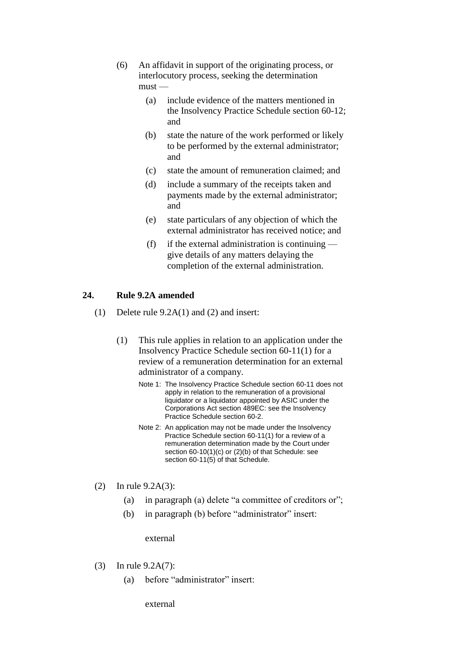- (6) An affidavit in support of the originating process, or interlocutory process, seeking the determination  $must -$ 
	- (a) include evidence of the matters mentioned in the Insolvency Practice Schedule section 60-12; and
	- (b) state the nature of the work performed or likely to be performed by the external administrator; and
	- (c) state the amount of remuneration claimed; and
	- (d) include a summary of the receipts taken and payments made by the external administrator; and
	- (e) state particulars of any objection of which the external administrator has received notice; and
	- (f) if the external administration is continuing  $$ give details of any matters delaying the completion of the external administration.

### **24. Rule 9.2A amended**

- (1) Delete rule 9.2A(1) and (2) and insert:
	- (1) This rule applies in relation to an application under the Insolvency Practice Schedule section 60-11(1) for a review of a remuneration determination for an external administrator of a company.
		- Note 1: The Insolvency Practice Schedule section 60-11 does not apply in relation to the remuneration of a provisional liquidator or a liquidator appointed by ASIC under the Corporations Act section 489EC: see the Insolvency Practice Schedule section 60-2.
		- Note 2: An application may not be made under the Insolvency Practice Schedule section 60-11(1) for a review of a remuneration determination made by the Court under section 60-10(1)(c) or (2)(b) of that Schedule: see section 60-11(5) of that Schedule.
- (2) In rule 9.2A(3):
	- (a) in paragraph (a) delete "a committee of creditors or";
	- (b) in paragraph (b) before "administrator" insert:

external

- (3) In rule 9.2A(7):
	- (a) before "administrator" insert:

external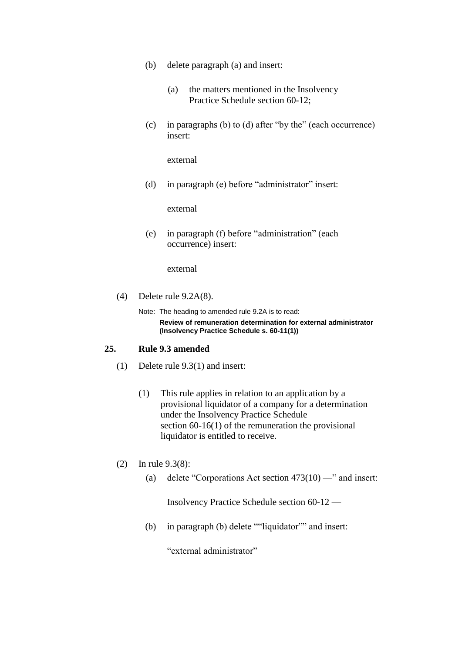- (b) delete paragraph (a) and insert:
	- (a) the matters mentioned in the Insolvency Practice Schedule section 60-12;
- (c) in paragraphs (b) to (d) after "by the" (each occurrence) insert:

external

(d) in paragraph (e) before "administrator" insert:

external

(e) in paragraph (f) before "administration" (each occurrence) insert:

external

(4) Delete rule 9.2A(8).

Note: The heading to amended rule 9.2A is to read: **Review of remuneration determination for external administrator (Insolvency Practice Schedule s. 60-11(1))**

#### **25. Rule 9.3 amended**

- (1) Delete rule 9.3(1) and insert:
	- (1) This rule applies in relation to an application by a provisional liquidator of a company for a determination under the Insolvency Practice Schedule section 60-16(1) of the remuneration the provisional liquidator is entitled to receive.
- (2) In rule 9.3(8):
	- (a) delete "Corporations Act section  $473(10)$  —" and insert:

Insolvency Practice Schedule section 60-12 —

(b) in paragraph (b) delete ""liquidator"" and insert:

"external administrator"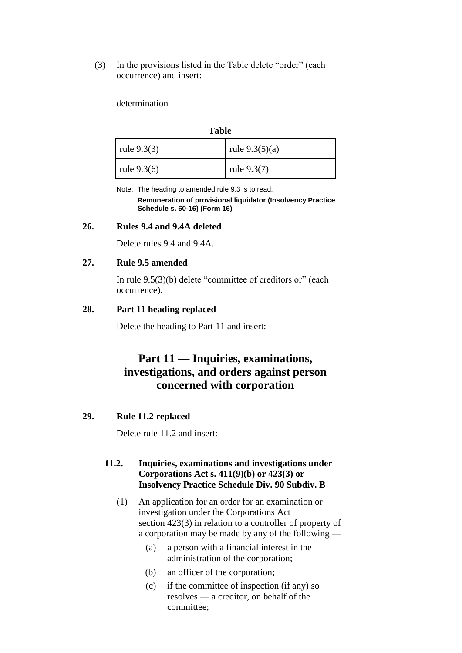(3) In the provisions listed in the Table delete "order" (each occurrence) and insert:

determination

#### **Table**

| rule $9.3(3)$ | rule $9.3(5)(a)$ |
|---------------|------------------|
| rule $9.3(6)$ | rule $9.3(7)$    |

Note: The heading to amended rule 9.3 is to read: **Remuneration of provisional liquidator (Insolvency Practice Schedule s. 60-16) (Form 16)**

#### **26. Rules 9.4 and 9.4A deleted**

Delete rules 9.4 and 9.4A.

#### **27. Rule 9.5 amended**

In rule 9.5(3)(b) delete "committee of creditors or" (each occurrence).

#### **28. Part 11 heading replaced**

Delete the heading to Part 11 and insert:

# **Part 11 — Inquiries, examinations, investigations, and orders against person concerned with corporation**

#### **29. Rule 11.2 replaced**

Delete rule 11.2 and insert:

### **11.2. Inquiries, examinations and investigations under Corporations Act s. 411(9)(b) or 423(3) or Insolvency Practice Schedule Div. 90 Subdiv. B**

- (1) An application for an order for an examination or investigation under the Corporations Act section 423(3) in relation to a controller of property of a corporation may be made by any of the following —
	- (a) a person with a financial interest in the administration of the corporation;
	- (b) an officer of the corporation;
	- (c) if the committee of inspection (if any) so resolves — a creditor, on behalf of the committee;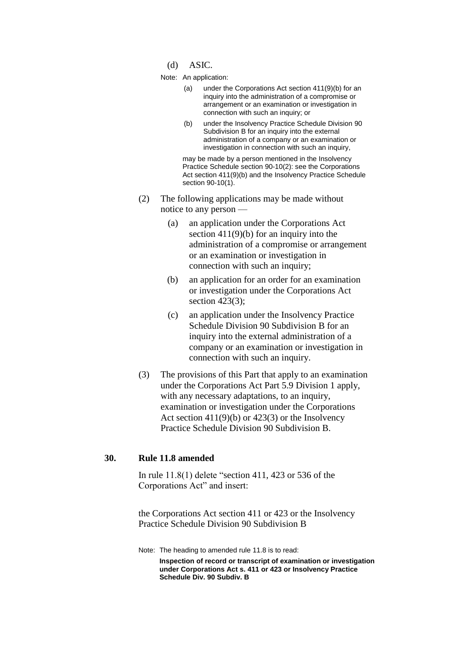- (d) ASIC.
- Note: An application:
	- (a) under the Corporations Act section 411(9)(b) for an inquiry into the administration of a compromise or arrangement or an examination or investigation in connection with such an inquiry; or
	- (b) under the Insolvency Practice Schedule Division 90 Subdivision B for an inquiry into the external administration of a company or an examination or investigation in connection with such an inquiry,

may be made by a person mentioned in the Insolvency Practice Schedule section 90-10(2): see the Corporations Act section 411(9)(b) and the Insolvency Practice Schedule section 90-10(1).

- (2) The following applications may be made without notice to any person —
	- (a) an application under the Corporations Act section 411(9)(b) for an inquiry into the administration of a compromise or arrangement or an examination or investigation in connection with such an inquiry;
	- (b) an application for an order for an examination or investigation under the Corporations Act section 423(3);
	- (c) an application under the Insolvency Practice Schedule Division 90 Subdivision B for an inquiry into the external administration of a company or an examination or investigation in connection with such an inquiry.
- (3) The provisions of this Part that apply to an examination under the Corporations Act Part 5.9 Division 1 apply, with any necessary adaptations, to an inquiry, examination or investigation under the Corporations Act section  $411(9)(b)$  or  $423(3)$  or the Insolvency Practice Schedule Division 90 Subdivision B.

#### **30. Rule 11.8 amended**

In rule 11.8(1) delete "section 411, 423 or 536 of the Corporations Act" and insert:

the Corporations Act section 411 or 423 or the Insolvency Practice Schedule Division 90 Subdivision B

Note: The heading to amended rule 11.8 is to read: **Inspection of record or transcript of examination or investigation under Corporations Act s. 411 or 423 or Insolvency Practice Schedule Div. 90 Subdiv. B**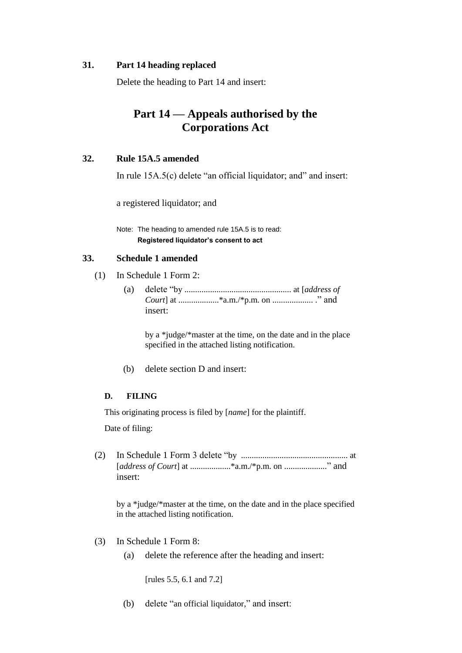#### **31. Part 14 heading replaced**

Delete the heading to Part 14 and insert:

# **Part 14 — Appeals authorised by the Corporations Act**

### **32. Rule 15A.5 amended**

In rule 15A.5(c) delete "an official liquidator; and" and insert:

a registered liquidator; and

Note: The heading to amended rule 15A.5 is to read: **Registered liquidator's consent to act**

### **33. Schedule 1 amended**

- (1) In Schedule 1 Form 2:
	- (a) delete "by .................................................. at [*address of Court*] at ...................\*a.m./\*p.m. on ................... ." and insert:

by a \*judge/\*master at the time, on the date and in the place specified in the attached listing notification.

(b) delete section D and insert:

#### **D. FILING**

This originating process is filed by [*name*] for the plaintiff.

Date of filing:

(2) In Schedule 1 Form 3 delete "by .................................................. at [*address of Court*] at ...................\*a.m./\*p.m. on ...................." and insert:

by a \*judge/\*master at the time, on the date and in the place specified in the attached listing notification.

- (3) In Schedule 1 Form 8:
	- (a) delete the reference after the heading and insert:

[rules 5.5, 6.1 and 7.2]

(b) delete "an official liquidator," and insert: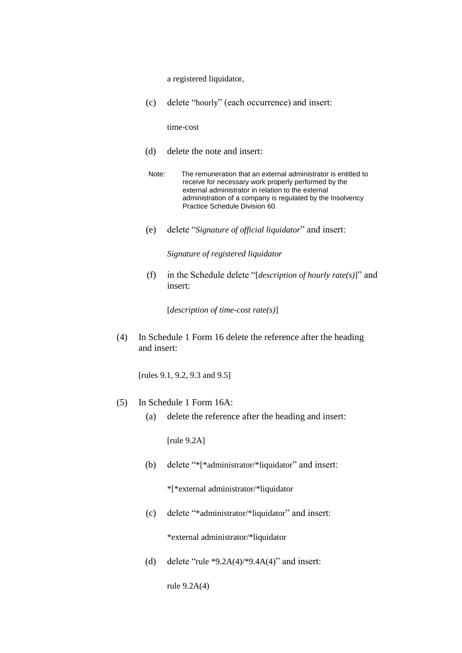a registered liquidator,

(c) delete "hourly" (each occurrence) and insert:

time-cost

- (d) delete the note and insert:
- Note: The remuneration that an external administrator is entitled to receive for necessary work properly performed by the external administrator in relation to the external administration of a company is regulated by the Insolvency Practice Schedule Division 60.
- (e) delete "*Signature of official liquidator*" and insert:

*Signature of registered liquidator*

(f) in the Schedule delete "[*description of hourly rate(s)*]" and insert:

[*description of time-cost rate(s)*]

(4) In Schedule 1 Form 16 delete the reference after the heading and insert:

[rules 9.1, 9.2, 9.3 and 9.5]

- (5) In Schedule 1 Form 16A:
	- (a) delete the reference after the heading and insert:

[rule 9.2A]

(b) delete "\*[\*administrator/\*liquidator" and insert:

\*[\*external administrator/\*liquidator

(c) delete "\*administrator/\*liquidator" and insert:

\*external administrator/\*liquidator

(d) delete "rule  $*9.2A(4)$ ",  $9.4A(4)$ " and insert:

rule 9.2A(4)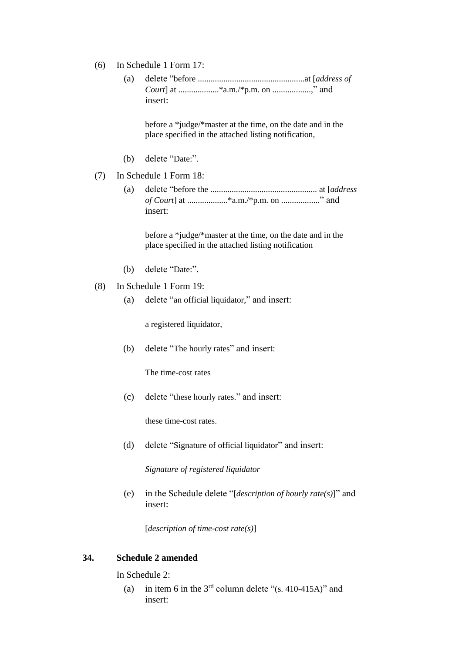- (6) In Schedule 1 Form 17:
	- (a) delete "before ..................................................at [*address of Court*] at ...................\*a.m./\*p.m. on ..................," and insert:

before a \*judge/\*master at the time, on the date and in the place specified in the attached listing notification,

- (b) delete "Date:".
- (7) In Schedule 1 Form 18:
	- (a) delete "before the .................................................. at [*address of Court*] at ...................\*a.m./\*p.m. on .................." and insert:

before a \*judge/\*master at the time, on the date and in the place specified in the attached listing notification

- (b) delete "Date:".
- (8) In Schedule 1 Form 19:
	- (a) delete "an official liquidator," and insert:

a registered liquidator,

(b) delete "The hourly rates" and insert:

The time-cost rates

(c) delete "these hourly rates." and insert:

these time-cost rates.

(d) delete "Signature of official liquidator" and insert:

*Signature of registered liquidator*

(e) in the Schedule delete "[*description of hourly rate(s)*]" and insert:

[*description of time-cost rate(s)*]

#### **34. Schedule 2 amended**

In Schedule 2:

(a) in item 6 in the  $3<sup>rd</sup>$  column delete "(s. 410-415A)" and insert: